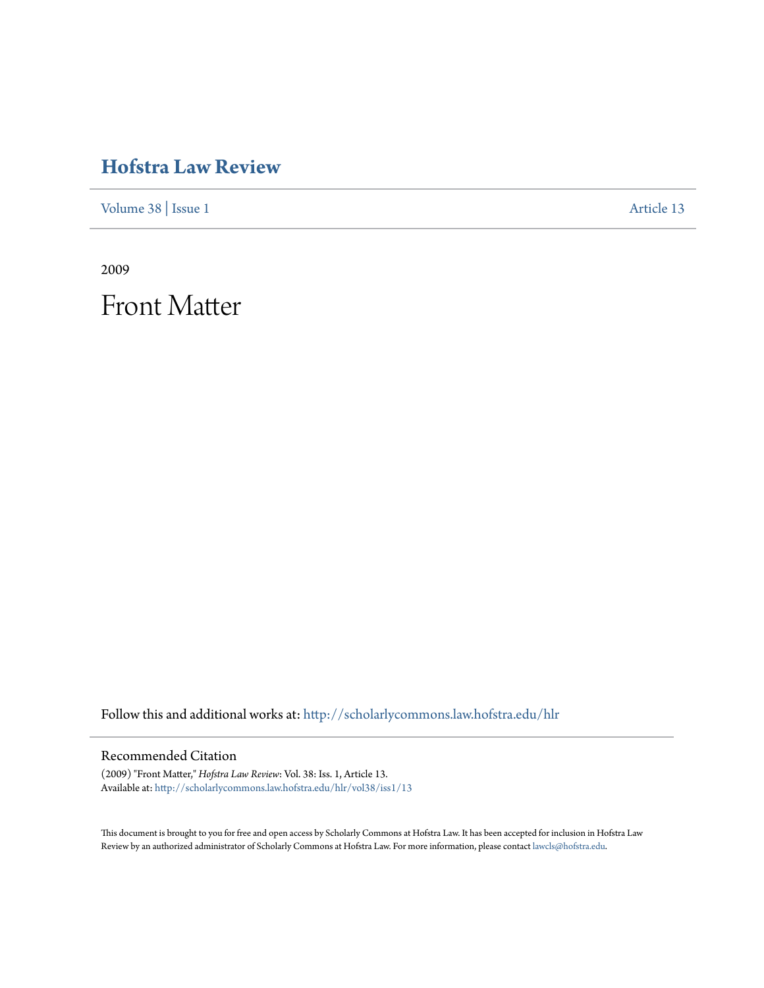# **[Hofstra Law Review](http://scholarlycommons.law.hofstra.edu/hlr?utm_source=scholarlycommons.law.hofstra.edu%2Fhlr%2Fvol38%2Fiss1%2F13&utm_medium=PDF&utm_campaign=PDFCoverPages)**

[Volume 38](http://scholarlycommons.law.hofstra.edu/hlr/vol38?utm_source=scholarlycommons.law.hofstra.edu%2Fhlr%2Fvol38%2Fiss1%2F13&utm_medium=PDF&utm_campaign=PDFCoverPages) | [Issue 1](http://scholarlycommons.law.hofstra.edu/hlr/vol38/iss1?utm_source=scholarlycommons.law.hofstra.edu%2Fhlr%2Fvol38%2Fiss1%2F13&utm_medium=PDF&utm_campaign=PDFCoverPages) [Article 13](http://scholarlycommons.law.hofstra.edu/hlr/vol38/iss1/13?utm_source=scholarlycommons.law.hofstra.edu%2Fhlr%2Fvol38%2Fiss1%2F13&utm_medium=PDF&utm_campaign=PDFCoverPages)

2009

Front Matter

Follow this and additional works at: [http://scholarlycommons.law.hofstra.edu/hlr](http://scholarlycommons.law.hofstra.edu/hlr?utm_source=scholarlycommons.law.hofstra.edu%2Fhlr%2Fvol38%2Fiss1%2F13&utm_medium=PDF&utm_campaign=PDFCoverPages)

## Recommended Citation

(2009) "Front Matter," *Hofstra Law Review*: Vol. 38: Iss. 1, Article 13. Available at: [http://scholarlycommons.law.hofstra.edu/hlr/vol38/iss1/13](http://scholarlycommons.law.hofstra.edu/hlr/vol38/iss1/13?utm_source=scholarlycommons.law.hofstra.edu%2Fhlr%2Fvol38%2Fiss1%2F13&utm_medium=PDF&utm_campaign=PDFCoverPages)

This document is brought to you for free and open access by Scholarly Commons at Hofstra Law. It has been accepted for inclusion in Hofstra Law Review by an authorized administrator of Scholarly Commons at Hofstra Law. For more information, please contact [lawcls@hofstra.edu](mailto:lawcls@hofstra.edu).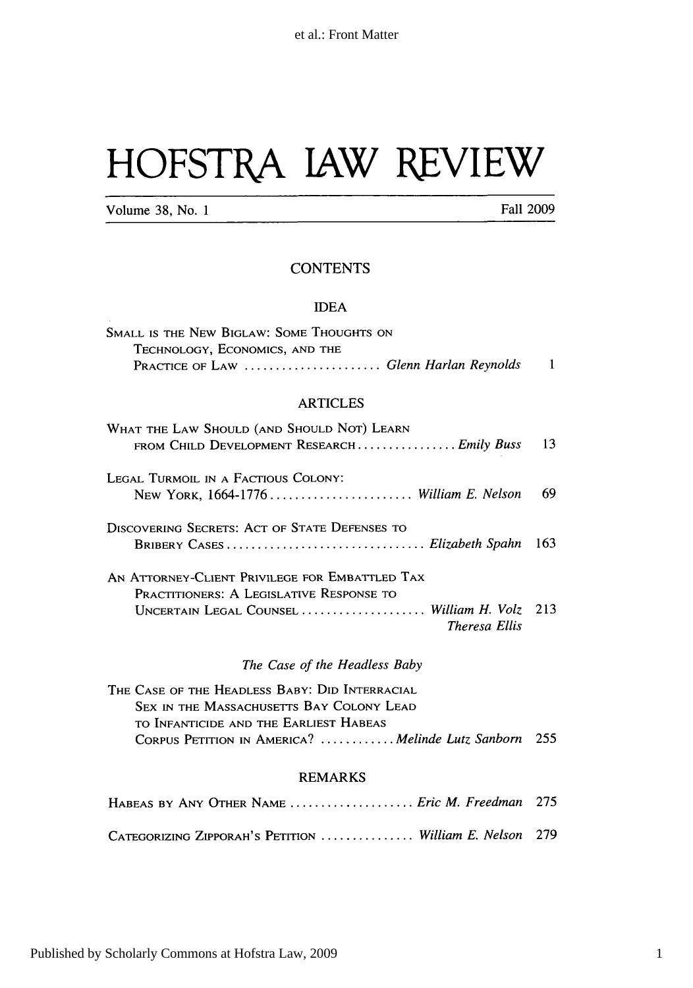# HOFSTRA IAW REVIEW

Volume **38,** No. 1 Fall **2009**

#### **CONTENTS**

**IDEA**

| Small is the New Biglaw: Some Thoughts on      |    |
|------------------------------------------------|----|
| TECHNOLOGY, ECONOMICS, AND THE                 |    |
| PRACTICE OF LAW  Glenn Harlan Reynolds         | 1  |
| <b>ARTICLES</b>                                |    |
| WHAT THE LAW SHOULD (AND SHOULD NOT) LEARN     |    |
| FROM CHILD DEVELOPMENT RESEARCH Emily Buss     | 13 |
| LEGAL TURMOIL IN A FACTIOUS COLONY:            |    |
| NEW YORK, 1664-1776  William E. Nelson         | 69 |
| DISCOVERING SECRETS: ACT OF STATE DEFENSES TO  |    |
|                                                |    |
| AN ATTORNEY-CLIENT PRIVILEGE FOR EMBATTLED TAX |    |
| PRACTITIONERS: A LEGISLATIVE RESPONSE TO       |    |
| UNCERTAIN LEGAL COUNSEL  William H. Volz 213   |    |
| Theresa Ellis                                  |    |

#### *The Case of the Headless Baby*

THE **CASE** OF THE HEADLESS BABY: DID INTERRACIAL **SEX IN THE MASSACHUSETTS BAY COLONY LEAD** TO INFANTICIDE **AND** THE EARLIEST **HABEAS CORPUS** PETITION **IN** AMERICA? **. . . . . . . . . . . . Melinde** *Lutz Sanborn* **255**

#### REMARKS

| HABEAS BY ANY OTHER NAME  Eric M. Freedman 275          |  |
|---------------------------------------------------------|--|
| CATEGORIZING ZIPPORAH'S PETITION  William E. Nelson 279 |  |